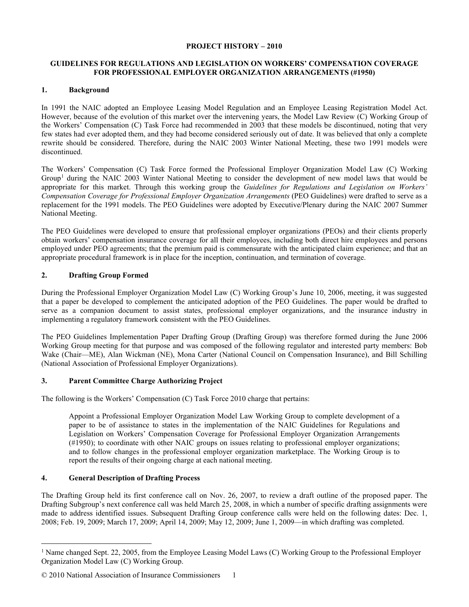## **PROJECT HISTORY – 2010**

## **GUIDELINES FOR REGULATIONS AND LEGISLATION ON WORKERS' COMPENSATION COVERAGE FOR PROFESSIONAL EMPLOYER ORGANIZATION ARRANGEMENTS (#1950)**

# **1. Background**

In 1991 the NAIC adopted an Employee Leasing Model Regulation and an Employee Leasing Registration Model Act. However, because of the evolution of this market over the intervening years, the Model Law Review (C) Working Group of the Workers' Compensation (C) Task Force had recommended in 2003 that these models be discontinued, noting that very few states had ever adopted them, and they had become considered seriously out of date. It was believed that only a complete rewrite should be considered. Therefore, during the NAIC 2003 Winter National Meeting, these two 1991 models were discontinued.

The Workers' Compensation (C) Task Force formed the Professional Employer Organization Model Law (C) Working Group[1](#page-0-0) during the NAIC 2003 Winter National Meeting to consider the development of new model laws that would be appropriate for this market. Through this working group the *Guidelines for Regulations and Legislation on Workers' Compensation Coverage for Professional Employer Organization Arrangements* (PEO Guidelines) were drafted to serve as a replacement for the 1991 models. The PEO Guidelines were adopted by Executive/Plenary during the NAIC 2007 Summer National Meeting.

The PEO Guidelines were developed to ensure that professional employer organizations (PEOs) and their clients properly obtain workers' compensation insurance coverage for all their employees, including both direct hire employees and persons employed under PEO agreements; that the premium paid is commensurate with the anticipated claim experience; and that an appropriate procedural framework is in place for the inception, continuation, and termination of coverage.

## **2. Drafting Group Formed**

During the Professional Employer Organization Model Law (C) Working Group's June 10, 2006, meeting, it was suggested that a paper be developed to complement the anticipated adoption of the PEO Guidelines. The paper would be drafted to serve as a companion document to assist states, professional employer organizations, and the insurance industry in implementing a regulatory framework consistent with the PEO Guidelines.

The PEO Guidelines Implementation Paper Drafting Group (Drafting Group) was therefore formed during the June 2006 Working Group meeting for that purpose and was composed of the following regulator and interested party members: Bob Wake (Chair—ME), Alan Wickman (NE), Mona Carter (National Council on Compensation Insurance), and Bill Schilling (National Association of Professional Employer Organizations).

# **3. Parent Committee Charge Authorizing Project**

The following is the Workers' Compensation (C) Task Force 2010 charge that pertains:

Appoint a Professional Employer Organization Model Law Working Group to complete development of a paper to be of assistance to states in the implementation of the NAIC Guidelines for Regulations and Legislation on Workers' Compensation Coverage for Professional Employer Organization Arrangements (#1950); to coordinate with other NAIC groups on issues relating to professional employer organizations; and to follow changes in the professional employer organization marketplace. The Working Group is to report the results of their ongoing charge at each national meeting.

# **4. General Description of Drafting Process**

The Drafting Group held its first conference call on Nov. 26, 2007, to review a draft outline of the proposed paper. The Drafting Subgroup's next conference call was held March 25, 2008, in which a number of specific drafting assignments were made to address identified issues. Subsequent Drafting Group conference calls were held on the following dates: Dec. 1, 2008; Feb. 19, 2009; March 17, 2009; April 14, 2009; May 12, 2009; June 1, 2009—in which drafting was completed.

<span id="page-0-0"></span><sup>&</sup>lt;sup>1</sup> Name changed Sept. 22, 2005, from the Employee Leasing Model Laws (C) Working Group to the Professional Employer Organization Model Law (C) Working Group.

<sup>© 2010</sup> National Association of Insurance Commissioners 1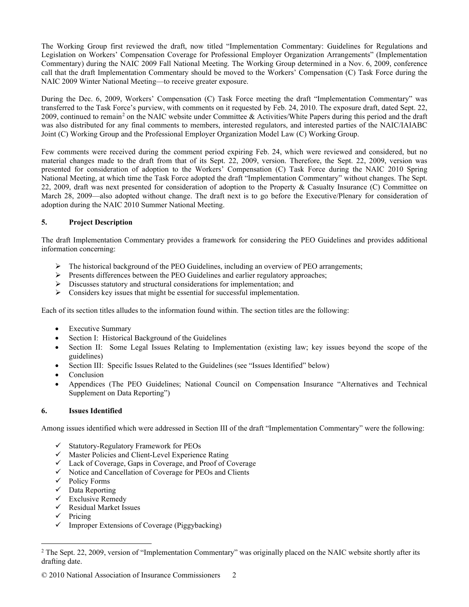The Working Group first reviewed the draft, now titled "Implementation Commentary: Guidelines for Regulations and Legislation on Workers' Compensation Coverage for Professional Employer Organization Arrangements" (Implementation Commentary) during the NAIC 2009 Fall National Meeting. The Working Group determined in a Nov. 6, 2009, conference call that the draft Implementation Commentary should be moved to the Workers' Compensation (C) Task Force during the NAIC 2009 Winter National Meeting—to receive greater exposure.

During the Dec. 6, 2009, Workers' Compensation (C) Task Force meeting the draft "Implementation Commentary" was transferred to the Task Force's purview, with comments on it requested by Feb. 24, 2010. The exposure draft, dated Sept. 22, [2](#page-1-0)009, continued to remain<sup>2</sup> on the NAIC website under Committee & Activities/White Papers during this period and the draft was also distributed for any final comments to members, interested regulators, and interested parties of the NAIC/IAIABC Joint (C) Working Group and the Professional Employer Organization Model Law (C) Working Group.

Few comments were received during the comment period expiring Feb. 24, which were reviewed and considered, but no material changes made to the draft from that of its Sept. 22, 2009, version. Therefore, the Sept. 22, 2009, version was presented for consideration of adoption to the Workers' Compensation (C) Task Force during the NAIC 2010 Spring National Meeting, at which time the Task Force adopted the draft "Implementation Commentary" without changes. The Sept. 22, 2009, draft was next presented for consideration of adoption to the Property & Casualty Insurance (C) Committee on March 28, 2009—also adopted without change. The draft next is to go before the Executive/Plenary for consideration of adoption during the NAIC 2010 Summer National Meeting.

# **5. Project Description**

The draft Implementation Commentary provides a framework for considering the PEO Guidelines and provides additional information concerning:

- $\triangleright$  The historical background of the PEO Guidelines, including an overview of PEO arrangements;
- $\triangleright$  Presents differences between the PEO Guidelines and earlier regulatory approaches;
- $\triangleright$  Discusses statutory and structural considerations for implementation; and
- $\triangleright$  Considers key issues that might be essential for successful implementation.

Each of its section titles alludes to the information found within. The section titles are the following:

- Executive Summary
- Section I: Historical Background of the Guidelines
- Section II: Some Legal Issues Relating to Implementation (existing law; key issues beyond the scope of the guidelines)
- Section III: Specific Issues Related to the Guidelines (see "Issues Identified" below)
- **Conclusion**
- Appendices (The PEO Guidelines; National Council on Compensation Insurance "Alternatives and Technical Supplement on Data Reporting")

# **6. Issues Identified**

Among issues identified which were addressed in Section III of the draft "Implementation Commentary" were the following:

- $\checkmark$  Statutory-Regulatory Framework for PEOs
- $\checkmark$  Master Policies and Client-Level Experience Rating
- Lack of Coverage, Gaps in Coverage, and Proof of Coverage
- $\checkmark$  Notice and Cancellation of Coverage for PEOs and Clients
- $\checkmark$  Policy Forms
- $\checkmark$  Data Reporting
- $\checkmark$  Exclusive Remedy
- $\checkmark$  Residual Market Issues
- $\checkmark$  Pricing
- $\checkmark$  Improper Extensions of Coverage (Piggybacking)

<span id="page-1-0"></span><sup>&</sup>lt;sup>2</sup> The Sept. 22, 2009, version of "Implementation Commentary" was originally placed on the NAIC website shortly after its drafting date.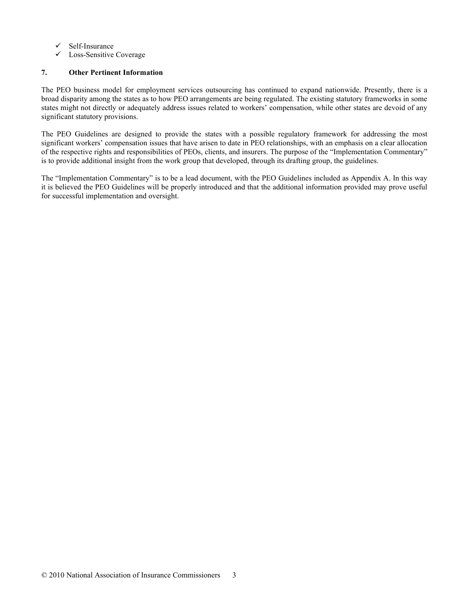- $\checkmark$  Self-Insurance
- $\checkmark$  Loss-Sensitive Coverage

# **7. Other Pertinent Information**

The PEO business model for employment services outsourcing has continued to expand nationwide. Presently, there is a broad disparity among the states as to how PEO arrangements are being regulated. The existing statutory frameworks in some states might not directly or adequately address issues related to workers' compensation, while other states are devoid of any significant statutory provisions.

The PEO Guidelines are designed to provide the states with a possible regulatory framework for addressing the most significant workers' compensation issues that have arisen to date in PEO relationships, with an emphasis on a clear allocation of the respective rights and responsibilities of PEOs, clients, and insurers. The purpose of the "Implementation Commentary" is to provide additional insight from the work group that developed, through its drafting group, the guidelines.

The "Implementation Commentary" is to be a lead document, with the PEO Guidelines included as Appendix A. In this way it is believed the PEO Guidelines will be properly introduced and that the additional information provided may prove useful for successful implementation and oversight.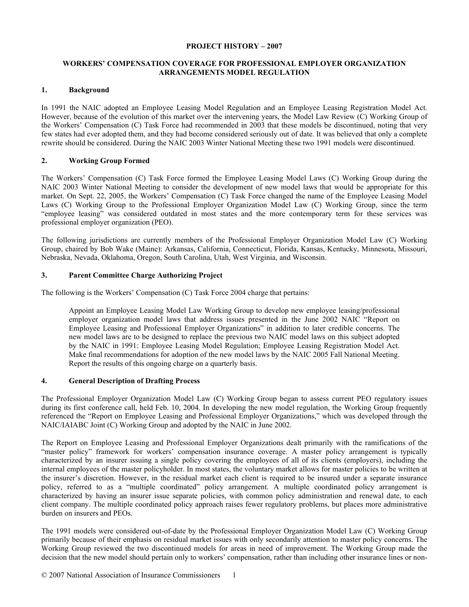#### **PROJECT HISTORY – 2007**

## **WORKERS' COMPENSATION COVERAGE FOR PROFESSIONAL EMPLOYER ORGANIZATION ARRANGEMENTS MODEL REGULATION**

## **1. Background**

In 1991 the NAIC adopted an Employee Leasing Model Regulation and an Employee Leasing Registration Model Act. However, because of the evolution of this market over the intervening years, the Model Law Review (C) Working Group of the Workers' Compensation (C) Task Force had recommended in 2003 that these models be discontinued, noting that very few states had ever adopted them, and they had become considered seriously out of date. It was believed that only a complete rewrite should be considered. During the NAIC 2003 Winter National Meeting these two 1991 models were discontinued.

# **2. Working Group Formed**

The Workers' Compensation (C) Task Force formed the Employee Leasing Model Laws (C) Working Group during the NAIC 2003 Winter National Meeting to consider the development of new model laws that would be appropriate for this market. On Sept. 22, 2005, the Workers' Compensation (C) Task Force changed the name of the Employee Leasing Model Laws (C) Working Group to the Professional Employer Organization Model Law (C) Working Group, since the term "employee leasing" was considered outdated in most states and the more contemporary term for these services was professional employer organization (PEO).

The following jurisdictions are currently members of the Professional Employer Organization Model Law (C) Working Group, chaired by Bob Wake (Maine): Arkansas, California, Connecticut, Florida, Kansas, Kentucky, Minnesota, Missouri, Nebraska, Nevada, Oklahoma, Oregon, South Carolina, Utah, West Virginia, and Wisconsin.

## **3. Parent Committee Charge Authorizing Project**

The following is the Workers' Compensation (C) Task Force 2004 charge that pertains:

Appoint an Employee Leasing Model Law Working Group to develop new employee leasing/professional employer organization model laws that address issues presented in the June 2002 NAIC "Report on Employee Leasing and Professional Employer Organizations" in addition to later credible concerns. The new model laws are to be designed to replace the previous two NAIC model laws on this subject adopted by the NAIC in 1991: Employee Leasing Model Regulation; Employee Leasing Registration Model Act. Make final recommendations for adoption of the new model laws by the NAIC 2005 Fall National Meeting. Report the results of this ongoing charge on a quarterly basis.

#### **4. General Description of Drafting Process**

The Professional Employer Organization Model Law (C) Working Group began to assess current PEO regulatory issues during its first conference call, held Feb. 10, 2004. In developing the new model regulation, the Working Group frequently referenced the "Report on Employee Leasing and Professional Employer Organizations," which was developed through the NAIC/IAIABC Joint (C) Working Group and adopted by the NAIC in June 2002.

The Report on Employee Leasing and Professional Employer Organizations dealt primarily with the ramifications of the "master policy" framework for workers' compensation insurance coverage. A master policy arrangement is typically characterized by an insurer issuing a single policy covering the employees of all of its clients (employers), including the internal employees of the master policyholder. In most states, the voluntary market allows for master policies to be written at the insurer's discretion. However, in the residual market each client is required to be insured under a separate insurance policy, referred to as a "multiple coordinated" policy arrangement. A multiple coordinated policy arrangement is characterized by having an insurer issue separate policies, with common policy administration and renewal date, to each client company. The multiple coordinated policy approach raises fewer regulatory problems, but places more administrative burden on insurers and PEOs.

The 1991 models were considered out-of-date by the Professional Employer Organization Model Law (C) Working Group primarily because of their emphasis on residual market issues with only secondarily attention to master policy concerns. The Working Group reviewed the two discontinued models for areas in need of improvement. The Working Group made the decision that the new model should pertain only to workers' compensation, rather than including other insurance lines or non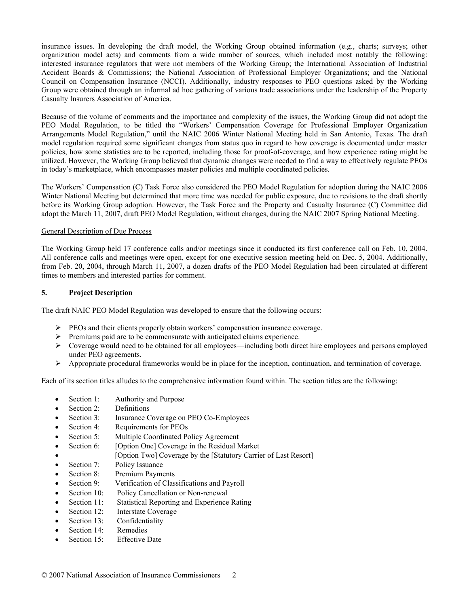insurance issues. In developing the draft model, the Working Group obtained information (e.g., charts; surveys; other organization model acts) and comments from a wide number of sources, which included most notably the following: interested insurance regulators that were not members of the Working Group; the International Association of Industrial Accident Boards & Commissions; the National Association of Professional Employer Organizations; and the National Council on Compensation Insurance (NCCI). Additionally, industry responses to PEO questions asked by the Working Group were obtained through an informal ad hoc gathering of various trade associations under the leadership of the Property Casualty Insurers Association of America.

Because of the volume of comments and the importance and complexity of the issues, the Working Group did not adopt the PEO Model Regulation, to be titled the "Workers' Compensation Coverage for Professional Employer Organization Arrangements Model Regulation," until the NAIC 2006 Winter National Meeting held in San Antonio, Texas. The draft model regulation required some significant changes from status quo in regard to how coverage is documented under master policies, how some statistics are to be reported, including those for proof-of-coverage, and how experience rating might be utilized. However, the Working Group believed that dynamic changes were needed to find a way to effectively regulate PEOs in today's marketplace, which encompasses master policies and multiple coordinated policies.

The Workers' Compensation (C) Task Force also considered the PEO Model Regulation for adoption during the NAIC 2006 Winter National Meeting but determined that more time was needed for public exposure, due to revisions to the draft shortly before its Working Group adoption. However, the Task Force and the Property and Casualty Insurance (C) Committee did adopt the March 11, 2007, draft PEO Model Regulation, without changes, during the NAIC 2007 Spring National Meeting.

## General Description of Due Process

The Working Group held 17 conference calls and/or meetings since it conducted its first conference call on Feb. 10, 2004. All conference calls and meetings were open, except for one executive session meeting held on Dec. 5, 2004. Additionally, from Feb. 20, 2004, through March 11, 2007, a dozen drafts of the PEO Model Regulation had been circulated at different times to members and interested parties for comment.

# **5. Project Description**

The draft NAIC PEO Model Regulation was developed to ensure that the following occurs:

- $\triangleright$  PEOs and their clients properly obtain workers' compensation insurance coverage.
- $\triangleright$  Premiums paid are to be commensurate with anticipated claims experience.
- Coverage would need to be obtained for all employees—including both direct hire employees and persons employed under PEO agreements.
- $\triangleright$  Appropriate procedural frameworks would be in place for the inception, continuation, and termination of coverage.

Each of its section titles alludes to the comprehensive information found within. The section titles are the following:

- Section 1: Authority and Purpose
- Section 2: Definitions
- Section 3: Insurance Coverage on PEO Co-Employees
- Section 4: Requirements for PEOs
- Section 5: Multiple Coordinated Policy Agreement
- Section 6: [Option One] Coverage in the Residual Market
- [Option Two] Coverage by the [Statutory Carrier of Last Resort]
- Section 7: Policy Issuance
- Section 8: Premium Payments
- Section 9: Verification of Classifications and Payroll
- Section 10: Policy Cancellation or Non-renewal
- Section 11: Statistical Reporting and Experience Rating
- Section 12: Interstate Coverage
- Section 13: Confidentiality
- Section 14: Remedies
- Section 15: Effective Date